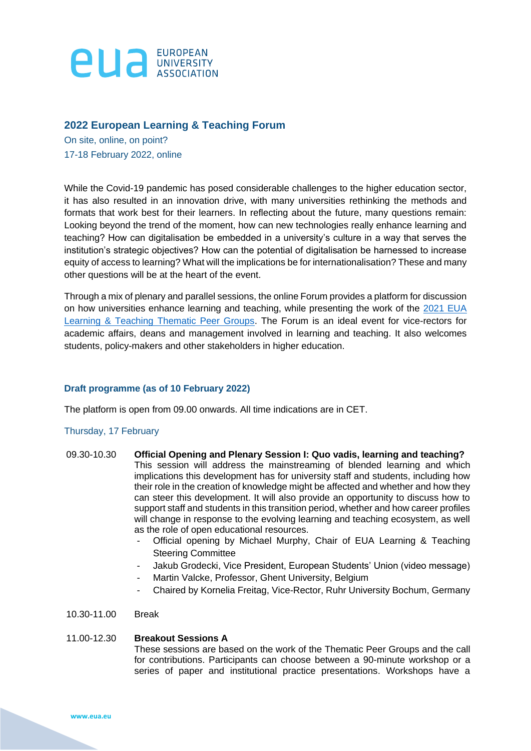

# **2022 European Learning & Teaching Forum**

On site, online, on point? 17-18 February 2022, online

While the Covid-19 pandemic has posed considerable challenges to the higher education sector, it has also resulted in an innovation drive, with many universities rethinking the methods and formats that work best for their learners. In reflecting about the future, many questions remain: Looking beyond the trend of the moment, how can new technologies really enhance learning and teaching? How can digitalisation be embedded in a university's culture in a way that serves the institution's strategic objectives? How can the potential of digitalisation be harnessed to increase equity of access to learning? What will the implications be for internationalisation? These and many other questions will be at the heart of the event.

Through a mix of plenary and parallel sessions, the online Forum provides a platform for discussion on how universities enhance learning and teaching, while presenting the work of the [2021](https://eua.eu/images/List_member_TPGs.pdf) EUA [Learning & Teaching Thematic Peer Groups.](https://eua.eu/images/List_member_TPGs.pdf) The Forum is an ideal event for vice-rectors for academic affairs, deans and management involved in learning and teaching. It also welcomes students, policy-makers and other stakeholders in higher education.

# **Draft programme (as of 10 February 2022)**

The platform is open from 09.00 onwards. All time indications are in CET.

# Thursday, 17 February

- 09.30-10.30 **Official Opening and Plenary Session I: Quo vadis, learning and teaching?**  This session will address the mainstreaming of blended learning and which implications this development has for university staff and students, including how their role in the creation of knowledge might be affected and whether and how they can steer this development. It will also provide an opportunity to discuss how to support staff and students in this transition period, whether and how career profiles will change in response to the evolving learning and teaching ecosystem, as well as the role of open educational resources.
	- Official opening by Michael Murphy, Chair of EUA Learning & Teaching Steering Committee
	- Jakub Grodecki, Vice President, European Students' Union (video message)
	- Martin Valcke, Professor, Ghent University, Belgium
	- Chaired by Kornelia Freitag, Vice-Rector, Ruhr University Bochum, Germany
- 10.30-11.00 Break

## 11.00-12.30 **Breakout Sessions A**

These sessions are based on the work of the Thematic Peer Groups and the call for contributions. Participants can choose between a 90-minute workshop or a series of paper and institutional practice presentations. Workshops have a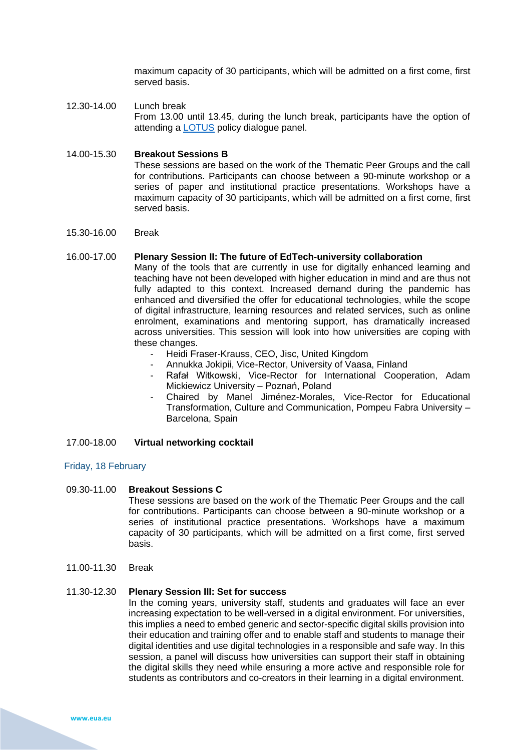maximum capacity of 30 participants, which will be admitted on a first come, first served basis.

12.30-14.00 Lunch break From 13.00 until 13.45, during the lunch break, participants have the option of attending a [LOTUS](https://eua.eu/resources/projects/786-lotus.html) policy dialogue panel.

#### 14.00-15.30 **Breakout Sessions B**

These sessions are based on the work of the Thematic Peer Groups and the call for contributions. Participants can choose between a 90-minute workshop or a series of paper and institutional practice presentations. Workshops have a maximum capacity of 30 participants, which will be admitted on a first come, first served basis.

15.30-16.00 Break

#### 16.00-17.00 **Plenary Session II: The future of EdTech-university collaboration**

Many of the tools that are currently in use for digitally enhanced learning and teaching have not been developed with higher education in mind and are thus not fully adapted to this context. Increased demand during the pandemic has enhanced and diversified the offer for educational technologies, while the scope of digital infrastructure, learning resources and related services, such as online enrolment, examinations and mentoring support, has dramatically increased across universities. This session will look into how universities are coping with these changes.

- Heidi Fraser-Krauss, CEO, Jisc, United Kingdom
- Annukka Jokipii, Vice-Rector, University of Vaasa, Finland
- Rafał Witkowski, Vice-Rector for International Cooperation, Adam Mickiewicz University – Poznań, Poland
- Chaired by Manel Jiménez-Morales, Vice-Rector for Educational Transformation, Culture and Communication, Pompeu Fabra University – Barcelona, Spain

## 17.00-18.00 **Virtual networking cocktail**

## Friday, 18 February

#### 09.30-11.00 **Breakout Sessions C**

These sessions are based on the work of the Thematic Peer Groups and the call for contributions. Participants can choose between a 90-minute workshop or a series of institutional practice presentations. Workshops have a maximum capacity of 30 participants, which will be admitted on a first come, first served basis.

11.00-11.30 Break

### 11.30-12.30 **Plenary Session III: Set for success**

In the coming years, university staff, students and graduates will face an ever increasing expectation to be well-versed in a digital environment. For universities, this implies a need to embed generic and sector-specific digital skills provision into their education and training offer and to enable staff and students to manage their digital identities and use digital technologies in a responsible and safe way. In this session, a panel will discuss how universities can support their staff in obtaining the digital skills they need while ensuring a more active and responsible role for students as contributors and co-creators in their learning in a digital environment.